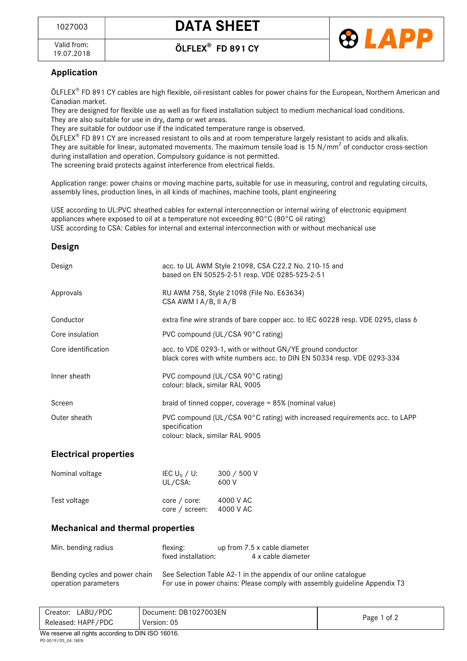

Valid from:

## Application

ÖLFLEX® FD 891 CY cables are high flexible, oil-resistant cables for power chains for the European, Northern American and Canadian market.

They are designed for flexible use as well as for fixed installation subject to medium mechanical load conditions. They are also suitable for use in dry, damp or wet areas.

They are suitable for outdoor use if the indicated temperature range is observed.

ÖLFLEX® FD 891 CY are increased resistant to oils and at room temperature largely resistant to acids and alkalis. They are suitable for linear, automated movements. The maximum tensile load is 15 N/mm<sup>2</sup> of conductor cross-section during installation and operation. Compulsory guidance is not permitted. The screening braid protects against interference from electrical fields.

Application range: power chains or moving machine parts, suitable for use in measuring, control and regulating circuits, assembly lines, production lines, in all kinds of machines, machine tools, plant engineering

USE according to UL:PVC sheathed cables for external interconnection or internal wiring of electronic equipment appliances where exposed to oil at a temperature not exceeding 80°C (80°C oil rating) USE according to CSA: Cables for internal and external interconnection with or without mechanical use

## Design

| Design                       | acc. to UL AWM Style 21098, CSA C22.2 No. 210-15 and<br>based on EN 50525-2-51 resp. VDE 0285-525-2-51                               |
|------------------------------|--------------------------------------------------------------------------------------------------------------------------------------|
| Approvals                    | RU AWM 758, Style 21098 (File No. E63634)<br>CSA AWM I A/B, II A/B                                                                   |
| Conductor                    | extra fine wire strands of bare copper acc. to IEC 60228 resp. VDE 0295, class 6                                                     |
| Core insulation              | PVC compound (UL/CSA 90°C rating)                                                                                                    |
| Core identification          | acc. to VDE 0293-1, with or without GN/YE ground conductor<br>black cores with white numbers acc. to DIN EN 50334 resp. VDE 0293-334 |
| Inner sheath                 | PVC compound (UL/CSA 90°C rating)<br>colour: black, similar RAL 9005                                                                 |
| Screen                       | braid of tinned copper, coverage $= 85\%$ (nominal value)                                                                            |
| Outer sheath                 | PVC compound (UL/CSA 90°C rating) with increased requirements acc. to LAPP<br>specification<br>colour: black, similar RAL 9005       |
| <b>Electrical properties</b> |                                                                                                                                      |

| Nominal voltage | IEC U <sub>0</sub> / U:<br>UL/CSA: | 300 / 500 V<br>600 V   |
|-----------------|------------------------------------|------------------------|
| Test voltage    | $core / core$ :<br>core / screen:  | 4000 V AC<br>4000 V AC |

## Mechanical and thermal properties

| Min. bending radius            | flexing:            | up from 7.5 x cable diameter                                               |
|--------------------------------|---------------------|----------------------------------------------------------------------------|
|                                | fixed installation: | 4 x cable diameter                                                         |
| Bending cycles and power chain |                     | See Selection Table A2-1 in the appendix of our online catalogue           |
| operation parameters           |                     | For use in power chains: Please comply with assembly guideline Appendix T3 |

| LABU/PDC<br>Creator: | Document: DB1027003EN | Page 1 of 2 |
|----------------------|-----------------------|-------------|
| Released: HAPF/PDC   | Version: 05           |             |